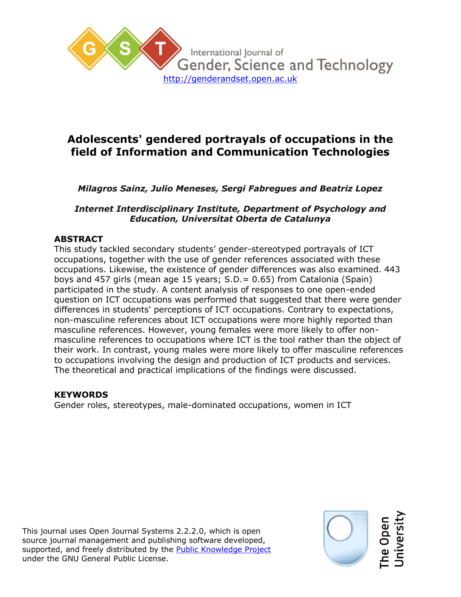

# **Adolescents' gendered portrayals of occupations in the field of Information and Communication Technologies**

# *Milagros Sainz, Julio Meneses, Sergi Fabregues and Beatriz Lopez*

### *Internet Interdisciplinary Institute, Department of Psychology and Education, Universitat Oberta de Catalunya*

## **ABSTRACT**

This study tackled secondary students' gender-stereotyped portrayals of ICT occupations, together with the use of gender references associated with these occupations. Likewise, the existence of gender differences was also examined. 443 boys and 457 girls (mean age 15 years; S.D.= 0.65) from Catalonia (Spain) participated in the study. A content analysis of responses to one open-ended question on ICT occupations was performed that suggested that there were gender differences in students' perceptions of ICT occupations. Contrary to expectations, non-masculine references about ICT occupations were more highly reported than masculine references. However, young females were more likely to offer nonmasculine references to occupations where ICT is the tool rather than the object of their work. In contrast, young males were more likely to offer masculine references to occupations involving the design and production of ICT products and services. The theoretical and practical implications of the findings were discussed.

### **KEYWORDS**

Gender roles, stereotypes, male-dominated occupations, women in ICT

This journal uses Open Journal Systems 2.2.2.0, which is open source journal management and publishing software developed, supported, and freely distributed by the **Public Knowledge Project** under the GNU General Public License.

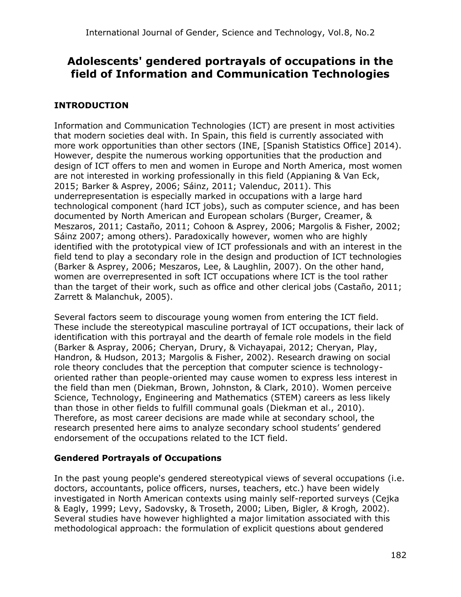# **Adolescents' gendered portrayals of occupations in the field of Information and Communication Technologies**

# **INTRODUCTION**

Information and Communication Technologies (ICT) are present in most activities that modern societies deal with. In Spain, this field is currently associated with more work opportunities than other sectors (INE, [Spanish Statistics Office] 2014). However, despite the numerous working opportunities that the production and design of ICT offers to men and women in Europe and North America, most women are not interested in working professionally in this field (Appianing & Van Eck, 2015; Barker & Asprey, 2006; Sáinz, 2011; Valenduc, 2011). This underrepresentation is especially marked in occupations with a large hard technological component (hard ICT jobs), such as computer science, and has been documented by North American and European scholars (Burger, Creamer, & Meszaros, 2011; Castaño, 2011; Cohoon & Asprey, 2006; Margolis & Fisher, 2002; Sáinz 2007; among others). Paradoxically however, women who are highly identified with the prototypical view of ICT professionals and with an interest in the field tend to play a secondary role in the design and production of ICT technologies (Barker & Asprey, 2006; Meszaros, Lee, & Laughlin, 2007). On the other hand, women are overrepresented in soft ICT occupations where ICT is the tool rather than the target of their work, such as office and other clerical jobs (Castaño, 2011; Zarrett & Malanchuk, 2005).

Several factors seem to discourage young women from entering the ICT field. These include the stereotypical masculine portrayal of ICT occupations, their lack of identification with this portrayal and the dearth of female role models in the field (Barker & Aspray, 2006; Cheryan, Drury, & Vichayapai, 2012; Cheryan, Play, Handron, & Hudson, 2013; Margolis & Fisher, 2002). Research drawing on social role theory concludes that the perception that computer science is technologyoriented rather than people-oriented may cause women to express less interest in the field than men (Diekman, Brown, Johnston, & Clark, 2010). Women perceive Science, Technology, Engineering and Mathematics (STEM) careers as less likely than those in other fields to fulfill communal goals (Diekman et al., 2010). Therefore, as most career decisions are made while at secondary school, the research presented here aims to analyze secondary school students' gendered endorsement of the occupations related to the ICT field.

# **Gendered Portrayals of Occupations**

In the past young people's gendered stereotypical views of several occupations (i.e. doctors, accountants, police officers, nurses, teachers, etc.) have been widely investigated in North American contexts using mainly self-reported surveys (Cejka & Eagly, 1999; Levy, Sadovsky, & Troseth, 2000; Liben*,* Bigler*, &* Krogh*,* 2002). Several studies have however highlighted a major limitation associated with this methodological approach: the formulation of explicit questions about gendered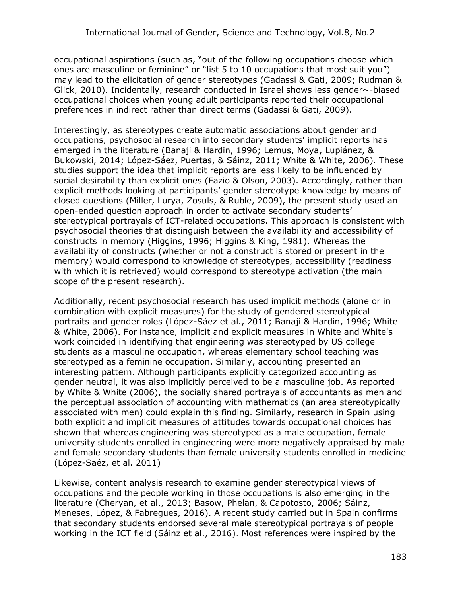occupational aspirations (such as, "out of the following occupations choose which ones are masculine or feminine" or "list 5 to 10 occupations that most suit you") may lead to the elicitation of gender stereotypes (Gadassi & Gati, 2009; Rudman & Glick, 2010). Incidentally, research conducted in Israel shows less gender~-biased occupational choices when young adult participants reported their occupational preferences in indirect rather than direct terms (Gadassi & Gati, 2009).

Interestingly, as stereotypes create automatic associations about gender and occupations, psychosocial research into secondary students' implicit reports has emerged in the literature (Banaji & Hardin, 1996; Lemus, Moya, Lupiánez, & Bukowski, 2014; López-Sáez, Puertas, & Sáinz, 2011; White & White, 2006). These studies support the idea that implicit reports are less likely to be influenced by social desirability than explicit ones (Fazio & Olson, 2003). Accordingly, rather than explicit methods looking at participants' gender stereotype knowledge by means of closed questions (Miller, Lurya, Zosuls, & Ruble, 2009), the present study used an open-ended question approach in order to activate secondary students' stereotypical portrayals of ICT-related occupations. This approach is consistent with psychosocial theories that distinguish between the availability and accessibility of constructs in memory (Higgins, 1996; Higgins & King, 1981). Whereas the availability of constructs (whether or not a construct is stored or present in the memory) would correspond to knowledge of stereotypes, accessibility (readiness with which it is retrieved) would correspond to stereotype activation (the main scope of the present research).

Additionally, recent psychosocial research has used implicit methods (alone or in combination with explicit measures) for the study of gendered stereotypical portraits and gender roles (López-Sáez et al., 2011; Banaji & Hardin, 1996; White & White, 2006). For instance, implicit and explicit measures in White and White's work coincided in identifying that engineering was stereotyped by US college students as a masculine occupation, whereas elementary school teaching was stereotyped as a feminine occupation. Similarly, accounting presented an interesting pattern. Although participants explicitly categorized accounting as gender neutral, it was also implicitly perceived to be a masculine job. As reported by White & White (2006), the socially shared portrayals of accountants as men and the perceptual association of accounting with mathematics (an area stereotypically associated with men) could explain this finding. Similarly, research in Spain using both explicit and implicit measures of attitudes towards occupational choices has shown that whereas engineering was stereotyped as a male occupation, female university students enrolled in engineering were more negatively appraised by male and female secondary students than female university students enrolled in medicine (López-Saéz, et al. 2011)

Likewise, content analysis research to examine gender stereotypical views of occupations and the people working in those occupations is also emerging in the literature (Cheryan, et al., 2013; Basow, Phelan, & Capotosto, 2006; Sáinz, Meneses, López, & Fabregues, 2016). A recent study carried out in Spain confirms that secondary students endorsed several male stereotypical portrayals of people working in the ICT field (Sáinz et al., 2016). Most references were inspired by the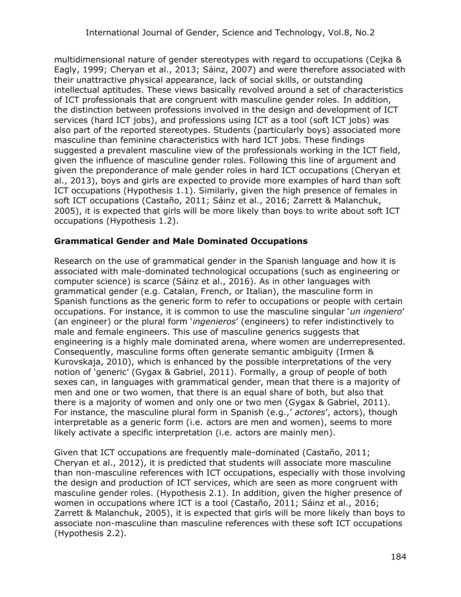multidimensional nature of gender stereotypes with regard to occupations (Cejka & Eagly, 1999; Cheryan et al., 2013; Sáinz, 2007) and were therefore associated with their unattractive physical appearance, lack of social skills, or outstanding intellectual aptitudes. These views basically revolved around a set of characteristics of ICT professionals that are congruent with masculine gender roles. In addition, the distinction between professions involved in the design and development of ICT services (hard ICT jobs), and professions using ICT as a tool (soft ICT jobs) was also part of the reported stereotypes. Students (particularly boys) associated more masculine than feminine characteristics with hard ICT jobs. These findings suggested a prevalent masculine view of the professionals working in the ICT field, given the influence of masculine gender roles. Following this line of argument and given the preponderance of male gender roles in hard ICT occupations (Cheryan et al., 2013), boys and girls are expected to provide more examples of hard than soft ICT occupations (Hypothesis 1.1). Similarly, given the high presence of females in soft ICT occupations (Castaño, 2011; Sáinz et al., 2016; Zarrett & Malanchuk, 2005), it is expected that girls will be more likely than boys to write about soft ICT occupations (Hypothesis 1.2).

### **Grammatical Gender and Male Dominated Occupations**

Research on the use of grammatical gender in the Spanish language and how it is associated with male-dominated technological occupations (such as engineering or computer science) is scarce (Sáinz et al., 2016). As in other languages with grammatical gender (e.g. Catalan, French, or Italian), the masculine form in Spanish functions as the generic form to refer to occupations or people with certain occupations. For instance, it is common to use the masculine singular '*un ingeniero*' (an engineer) or the plural form '*ingenieros*' (engineers) to refer indistinctively to male and female engineers. This use of masculine generics suggests that engineering is a highly male dominated arena, where women are underrepresented. Consequently, masculine forms often generate semantic ambiguity (Irmen & Kurovskaja, 2010), which is enhanced by the possible interpretations of the very notion of 'generic' (Gygax & Gabriel, 2011). Formally, a group of people of both sexes can, in languages with grammatical gender, mean that there is a majority of men and one or two women, that there is an equal share of both, but also that there is a majority of women and only one or two men (Gygax & Gabriel, 2011). For instance, the masculine plural form in Spanish (e.g.,' *actores*', actors), though interpretable as a generic form (i.e. actors are men and women), seems to more likely activate a specific interpretation (i.e. actors are mainly men).

Given that ICT occupations are frequently male-dominated (Castaño, 2011; Cheryan et al., 2012), it is predicted that students will associate more masculine than non-masculine references with ICT occupations, especially with those involving the design and production of ICT services, which are seen as more congruent with masculine gender roles. (Hypothesis 2.1). In addition, given the higher presence of women in occupations where ICT is a tool (Castaño, 2011; Sáinz et al., 2016; Zarrett & Malanchuk, 2005), it is expected that girls will be more likely than boys to associate non-masculine than masculine references with these soft ICT occupations (Hypothesis 2.2).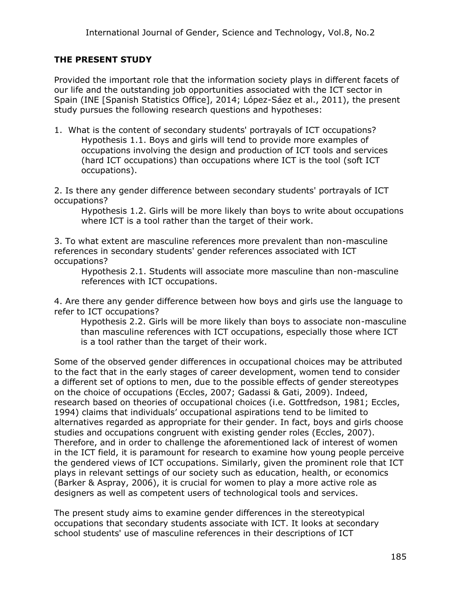## **THE PRESENT STUDY**

Provided the important role that the information society plays in different facets of our life and the outstanding job opportunities associated with the ICT sector in Spain (INE [Spanish Statistics Office], 2014; López-Sáez et al., 2011), the present study pursues the following research questions and hypotheses:

1. What is the content of secondary students' portrayals of ICT occupations? Hypothesis 1.1. Boys and girls will tend to provide more examples of occupations involving the design and production of ICT tools and services (hard ICT occupations) than occupations where ICT is the tool (soft ICT occupations).

2. Is there any gender difference between secondary students' portrayals of ICT occupations?

Hypothesis 1.2. Girls will be more likely than boys to write about occupations where ICT is a tool rather than the target of their work.

3. To what extent are masculine references more prevalent than non-masculine references in secondary students' gender references associated with ICT occupations?

Hypothesis 2.1. Students will associate more masculine than non-masculine references with ICT occupations.

4. Are there any gender difference between how boys and girls use the language to refer to ICT occupations?

Hypothesis 2.2. Girls will be more likely than boys to associate non-masculine than masculine references with ICT occupations, especially those where ICT is a tool rather than the target of their work.

Some of the observed gender differences in occupational choices may be attributed to the fact that in the early stages of career development, women tend to consider a different set of options to men, due to the possible effects of gender stereotypes on the choice of occupations (Eccles, 2007; Gadassi & Gati, 2009). Indeed, research based on theories of occupational choices (i.e. Gottfredson, 1981; Eccles, 1994) claims that individuals' occupational aspirations tend to be limited to alternatives regarded as appropriate for their gender. In fact, boys and girls choose studies and occupations congruent with existing gender roles (Eccles, 2007). Therefore, and in order to challenge the aforementioned lack of interest of women in the ICT field, it is paramount for research to examine how young people perceive the gendered views of ICT occupations. Similarly, given the prominent role that ICT plays in relevant settings of our society such as education, health, or economics (Barker & Aspray, 2006), it is crucial for women to play a more active role as designers as well as competent users of technological tools and services.

The present study aims to examine gender differences in the stereotypical occupations that secondary students associate with ICT. It looks at secondary school students' use of masculine references in their descriptions of ICT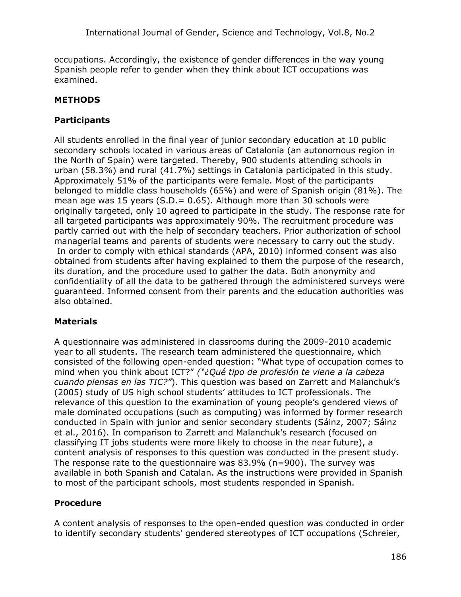occupations. Accordingly, the existence of gender differences in the way young Spanish people refer to gender when they think about ICT occupations was examined.

# **METHODS**

# **Participants**

All students enrolled in the final year of junior secondary education at 10 public secondary schools located in various areas of Catalonia (an autonomous region in the North of Spain) were targeted. Thereby, 900 students attending schools in urban (58.3*%*) and rural (41.7%) settings in Catalonia participated in this study. Approximately 51% of the participants were female. Most of the participants belonged to middle class households (65%) and were of Spanish origin (81%). The mean age was 15 years  $(S.D. = 0.65)$ . Although more than 30 schools were originally targeted, only 10 agreed to participate in the study. The response rate for all targeted participants was approximately 90%. The recruitment procedure was partly carried out with the help of secondary teachers. Prior authorization of school managerial teams and parents of students were necessary to carry out the study. In order to comply with ethical standards (APA, 2010) informed consent was also obtained from students after having explained to them the purpose of the research, its duration, and the procedure used to gather the data. Both anonymity and confidentiality of all the data to be gathered through the administered surveys were guaranteed. Informed consent from their parents and the education authorities was also obtained.

# **Materials**

A questionnaire was administered in classrooms during the 2009-2010 academic year to all students. The research team administered the questionnaire, which consisted of the following open-ended question: "What type of occupation comes to mind when you think about ICT?" *("¿Qué tipo de profesión te viene a la cabeza cuando piensas en las TIC?"*). This question was based on Zarrett and Malanchuk's (2005) study of US high school students' attitudes to ICT professionals. The relevance of this question to the examination of young people's gendered views of male dominated occupations (such as computing) was informed by former research conducted in Spain with junior and senior secondary students (Sáinz, 2007; Sáinz et al., 2016). In comparison to Zarrett and Malanchuk's research (focused on classifying IT jobs students were more likely to choose in the near future), a content analysis of responses to this question was conducted in the present study. The response rate to the questionnaire was 83.9% (n=900). The survey was available in both Spanish and Catalan. As the instructions were provided in Spanish to most of the participant schools, most students responded in Spanish.

### **Procedure**

A content analysis of responses to the open-ended question was conducted in order to identify secondary students' gendered stereotypes of ICT occupations (Schreier,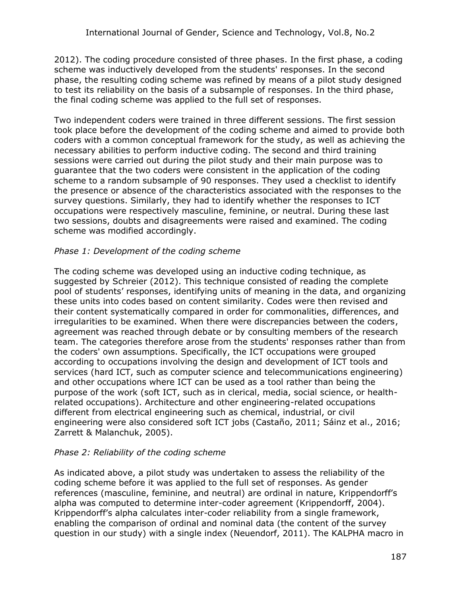2012). The coding procedure consisted of three phases. In the first phase, a coding scheme was inductively developed from the students' responses. In the second phase, the resulting coding scheme was refined by means of a pilot study designed to test its reliability on the basis of a subsample of responses. In the third phase, the final coding scheme was applied to the full set of responses.

Two independent coders were trained in three different sessions. The first session took place before the development of the coding scheme and aimed to provide both coders with a common conceptual framework for the study, as well as achieving the necessary abilities to perform inductive coding. The second and third training sessions were carried out during the pilot study and their main purpose was to guarantee that the two coders were consistent in the application of the coding scheme to a random subsample of 90 responses. They used a checklist to identify the presence or absence of the characteristics associated with the responses to the survey questions. Similarly, they had to identify whether the responses to ICT occupations were respectively masculine, feminine, or neutral. During these last two sessions, doubts and disagreements were raised and examined. The coding scheme was modified accordingly.

#### *Phase 1: Development of the coding scheme*

The coding scheme was developed using an inductive coding technique, as suggested by Schreier (2012). This technique consisted of reading the complete pool of students' responses, identifying units of meaning in the data, and organizing these units into codes based on content similarity. Codes were then revised and their content systematically compared in order for commonalities, differences, and irregularities to be examined. When there were discrepancies between the coders, agreement was reached through debate or by consulting members of the research team. The categories therefore arose from the students' responses rather than from the coders' own assumptions. Specifically, the ICT occupations were grouped according to occupations involving the design and development of ICT tools and services (hard ICT, such as computer science and telecommunications engineering) and other occupations where ICT can be used as a tool rather than being the purpose of the work (soft ICT, such as in clerical, media, social science, or healthrelated occupations). Architecture and other engineering-related occupations different from electrical engineering such as chemical, industrial, or civil engineering were also considered soft ICT jobs (Castaño, 2011; Sáinz et al., 2016; Zarrett & Malanchuk, 2005).

### *Phase 2: Reliability of the coding scheme*

As indicated above, a pilot study was undertaken to assess the reliability of the coding scheme before it was applied to the full set of responses. As gender references (masculine, feminine, and neutral) are ordinal in nature, Krippendorff's alpha was computed to determine inter-coder agreement (Krippendorff, 2004). Krippendorff's alpha calculates inter-coder reliability from a single framework, enabling the comparison of ordinal and nominal data (the content of the survey question in our study) with a single index (Neuendorf, 2011). The KALPHA macro in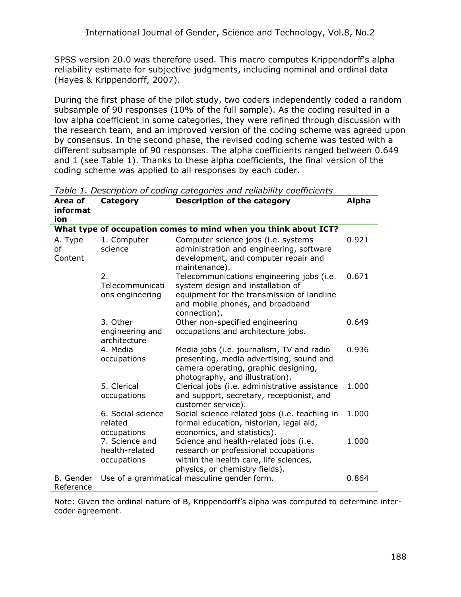SPSS version 20.0 was therefore used. This macro computes Krippendorff's alpha reliability estimate for subjective judgments, including nominal and ordinal data (Hayes & Krippendorff, 2007).

During the first phase of the pilot study, two coders independently coded a random subsample of 90 responses (10% of the full sample). As the coding resulted in a low alpha coefficient in some categories, they were refined through discussion with the research team, and an improved version of the coding scheme was agreed upon by consensus. In the second phase, the revised coding scheme was tested with a different subsample of 90 responses. The alpha coefficients ranged between 0.649 and 1 (see Table 1). Thanks to these alpha coefficients, the final version of the coding scheme was applied to all responses by each coder.

| Area of<br>informat<br>ion. | Category                                        | <b>Description of the category</b>                                                                                                                                               | <b>Alpha</b> |
|-----------------------------|-------------------------------------------------|----------------------------------------------------------------------------------------------------------------------------------------------------------------------------------|--------------|
|                             |                                                 | What type of occupation comes to mind when you think about ICT?                                                                                                                  |              |
| A. Type<br>οf<br>Content    | 1. Computer<br>science                          | Computer science jobs (i.e. systems<br>administration and engineering, software<br>development, and computer repair and<br>maintenance).                                         | 0.921        |
|                             | 2.<br>Telecommunicati<br>ons engineering        | Telecommunications engineering jobs (i.e.<br>system design and installation of<br>equipment for the transmission of landline<br>and mobile phones, and broadband<br>connection). | 0.671        |
|                             | 3. Other<br>engineering and<br>architecture     | Other non-specified engineering<br>occupations and architecture jobs.                                                                                                            | 0.649        |
|                             | 4. Media<br>occupations                         | Media jobs (i.e. journalism, TV and radio<br>presenting, media advertising, sound and<br>camera operating, graphic designing,<br>photography, and illustration).                 | 0.936        |
|                             | 5. Clerical<br>occupations                      | Clerical jobs (i.e. administrative assistance<br>and support, secretary, receptionist, and<br>customer service).                                                                 | 1.000        |
|                             | 6. Social science<br>related<br>occupations     | Social science related jobs (i.e. teaching in<br>formal education, historian, legal aid,<br>economics, and statistics).                                                          | 1.000        |
|                             | 7. Science and<br>health-related<br>occupations | Science and health-related jobs (i.e.<br>research or professional occupations<br>within the health care, life sciences,<br>physics, or chemistry fields).                        | 1.000        |
| B. Gender<br>Reference      |                                                 | Use of a grammatical masculine gender form.                                                                                                                                      | 0.864        |

*Table 1. Description of coding categories and reliability coefficients*

Note: Given the ordinal nature of B, Krippendorff's alpha was computed to determine intercoder agreement.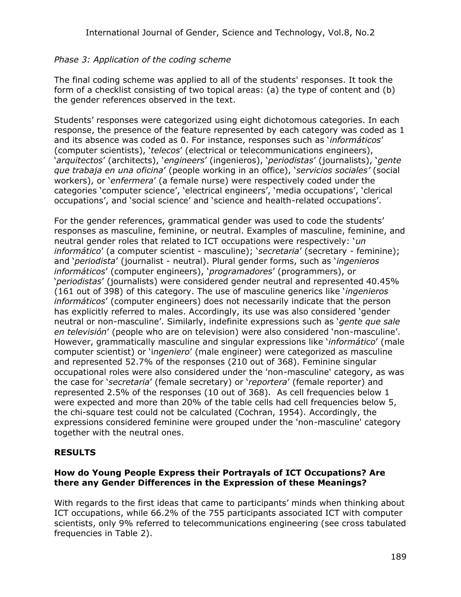### *Phase 3: Application of the coding scheme*

The final coding scheme was applied to all of the students' responses. It took the form of a checklist consisting of two topical areas: (a) the type of content and (b) the gender references observed in the text.

Students' responses were categorized using eight dichotomous categories. In each response, the presence of the feature represented by each category was coded as 1 and its absence was coded as 0. For instance, responses such as '*informáticos*' (computer scientists), '*telecos*' (electrical or telecommunications engineers), '*arquitectos*' (architects), '*engineers*' (ingenieros), '*periodistas*' (journalists), '*gente que trabaja en una oficina*' (people working in an office), '*servicios sociales'* (social workers), or '*enfermera*' (a female nurse) were respectively coded under the categories 'computer science', 'electrical engineers', 'media occupations', 'clerical occupations', and 'social science' and 'science and health-related occupations'.

For the gender references, grammatical gender was used to code the students' responses as masculine, feminine, or neutral. Examples of masculine, feminine, and neutral gender roles that related to ICT occupations were respectively: '*un informático*' (a computer scientist - masculine); '*secretaria*' (secretary - feminine); and '*periodista*' (journalist - neutral). Plural gender forms, such as '*ingenieros informáticos*' (computer engineers), '*programadores*' (programmers), or '*periodistas*' (journalists) were considered gender neutral and represented 40.45% (161 out of 398) of this category. The use of masculine generics like '*ingenieros informáticos*' (computer engineers) does not necessarily indicate that the person has explicitly referred to males. Accordingly, its use was also considered 'gender neutral or non-masculine'. Similarly, indefinite expressions such as '*gente que sale en televisión*' (people who are on television) were also considered 'non-masculine'. However, grammatically masculine and singular expressions like '*informático*' (male computer scientist) or 'i*ngeniero*' (male engineer) were categorized as masculine and represented 52.7% of the responses (210 out of 368). Feminine singular occupational roles were also considered under the 'non-masculine' category, as was the case for '*secretaria*' (female secretary) or '*reportera*' (female reporter) and represented 2.5% of the responses (10 out of 368). As cell frequencies below 1 were expected and more than 20% of the table cells had cell frequencies below 5, the chi-square test could not be calculated (Cochran, 1954). Accordingly, the expressions considered feminine were grouped under the 'non-masculine' category together with the neutral ones.

# **RESULTS**

#### **How do Young People Express their Portrayals of ICT Occupations? Are there any Gender Differences in the Expression of these Meanings?**

With regards to the first ideas that came to participants' minds when thinking about ICT occupations, while 66.2% of the 755 participants associated ICT with computer scientists, only 9% referred to telecommunications engineering (see cross tabulated frequencies in Table 2).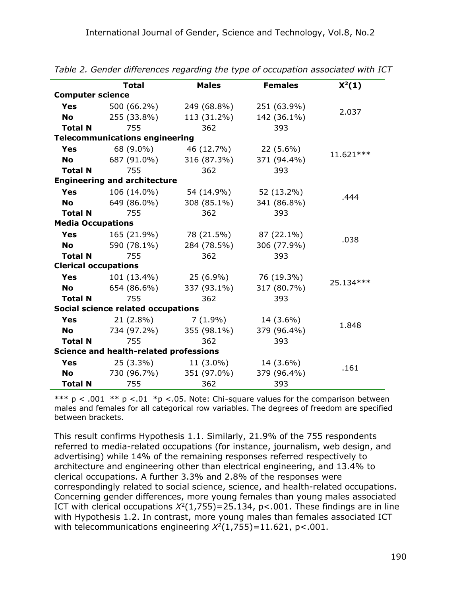|                             | <b>Total</b>                                  | <b>Males</b> | <b>Females</b> | $X^2(1)$   |
|-----------------------------|-----------------------------------------------|--------------|----------------|------------|
| <b>Computer science</b>     |                                               |              |                |            |
| <b>Yes</b>                  | 500 (66.2%)                                   | 249 (68.8%)  | 251 (63.9%)    |            |
| <b>No</b>                   | 255 (33.8%)                                   | 113 (31.2%)  | 142 (36.1%)    | 2.037      |
| <b>Total N</b>              | 755                                           | 362          | 393            |            |
|                             | <b>Telecommunications engineering</b>         |              |                |            |
| <b>Yes</b>                  | 68 (9.0%)                                     | 46 (12.7%)   | $22(5.6\%)$    |            |
| <b>No</b>                   | 687 (91.0%)                                   | 316 (87.3%)  | 371 (94.4%)    | 11.621 *** |
| <b>Total N</b>              | 755                                           | 362          | 393            |            |
|                             | <b>Engineering and architecture</b>           |              |                |            |
| <b>Yes</b>                  | 106 (14.0%)                                   | 54 (14.9%)   | 52 (13.2%)     |            |
| <b>No</b>                   | 649 (86.0%)                                   | 308 (85.1%)  | 341 (86.8%)    | .444       |
| <b>Total N</b>              | 755                                           | 362          | 393            |            |
| <b>Media Occupations</b>    |                                               |              |                |            |
| <b>Yes</b>                  | 165 (21.9%)                                   | 78 (21.5%)   | 87 (22.1%)     |            |
| <b>No</b>                   | 590 (78.1%)                                   | 284 (78.5%)  | 306 (77.9%)    | .038       |
| <b>Total N</b>              | 755                                           | 362          | 393            |            |
| <b>Clerical occupations</b> |                                               |              |                |            |
| <b>Yes</b>                  | 101 (13.4%)                                   | 25 (6.9%)    | 76 (19.3%)     | 25.134 *** |
| <b>No</b>                   | 654 (86.6%)                                   | 337 (93.1%)  | 317 (80.7%)    |            |
| <b>Total N</b>              | 755                                           | 362          | 393            |            |
|                             | Social science related occupations            |              |                |            |
| <b>Yes</b>                  | $21(2.8\%)$                                   | 7 (1.9%)     | 14 (3.6%)      | 1.848      |
| <b>No</b>                   | 734 (97.2%)                                   | 355 (98.1%)  | 379 (96.4%)    |            |
| <b>Total N</b>              | 755                                           | 362          | 393            |            |
|                             | <b>Science and health-related professions</b> |              |                |            |
| <b>Yes</b>                  | $25(3.3\%)$                                   | $11(3.0\%)$  | 14 (3.6%)      | .161       |
| <b>No</b>                   | 730 (96.7%)                                   | 351 (97.0%)  | 379 (96.4%)    |            |
| <b>Total N</b>              | 755                                           | 362          | 393            |            |

*Table 2. Gender differences regarding the type of occupation associated with ICT*

\*\*\* p < .001  $*$ \* p < .01  $*$  p < .05. Note: Chi-square values for the comparison between males and females for all categorical row variables. The degrees of freedom are specified between brackets.

This result confirms Hypothesis 1.1. Similarly, 21.9% of the 755 respondents referred to media-related occupations (for instance, journalism, web design, and advertising) while 14% of the remaining responses referred respectively to architecture and engineering other than electrical engineering, and 13.4% to clerical occupations. A further 3.3% and 2.8% of the responses were correspondingly related to social science, science, and health-related occupations. Concerning gender differences, more young females than young males associated ICT with clerical occupations  $X^2(1,755)$ =25.134, p<.001. These findings are in line with Hypothesis 1.2. In contrast, more young males than females associated ICT with telecommunications engineering  $X^2(1,755)$ =11.621, p<.001.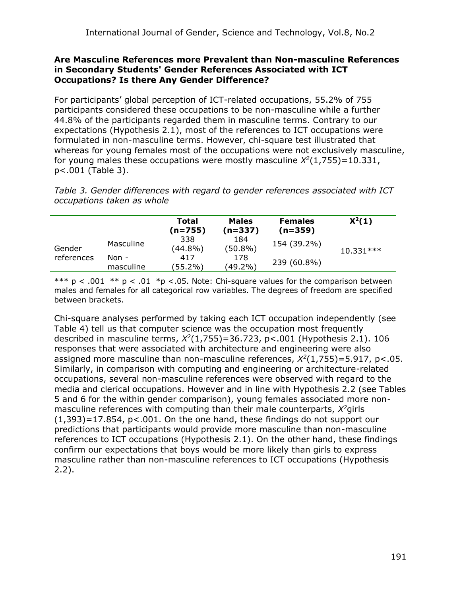#### **Are Masculine References more Prevalent than Non-masculine References in Secondary Students' Gender References Associated with ICT Occupations? Is there Any Gender Difference?**

For participants' global perception of ICT-related occupations, 55.2% of 755 participants considered these occupations to be non-masculine while a further 44.8% of the participants regarded them in masculine terms. Contrary to our expectations (Hypothesis 2.1), most of the references to ICT occupations were formulated in non-masculine terms. However, chi-square test illustrated that whereas for young females most of the occupations were not exclusively masculine, for young males these occupations were mostly masculine  $X^2(1,755)$  = 10.331, p<.001 (Table 3).

*Table 3. Gender differences with regard to gender references associated with ICT occupations taken as whole*

|            |                    | Total<br>(n=755)  | <b>Males</b><br>$(n=337)$ | <b>Females</b><br>$(n=359)$ | $X^2(1)$    |
|------------|--------------------|-------------------|---------------------------|-----------------------------|-------------|
| Gender     | Masculine          | 338<br>$(44.8\%)$ | 184<br>$(50.8\%)$         | 154 (39.2%)                 | $10.331***$ |
| references | Non -<br>masculine | 417<br>(55.2%)    | 178<br>$(49.2\%)$         | 239 (60.8%)                 |             |

\*\*\* p < .001  $*$ \* p < .01  $*$  p < .05. Note: Chi-square values for the comparison between males and females for all categorical row variables. The degrees of freedom are specified between brackets.

Chi-square analyses performed by taking each ICT occupation independently (see Table 4) tell us that computer science was the occupation most frequently described in masculine terms, *X 2* (1,755)=36.723, p<.001 (Hypothesis 2.1). 106 responses that were associated with architecture and engineering were also assigned more masculine than non-masculine references, *X 2* (1,755)=5.917, p<.05. Similarly, in comparison with computing and engineering or architecture-related occupations, several non-masculine references were observed with regard to the media and clerical occupations. However and in line with Hypothesis 2.2 (see Tables 5 and 6 for the within gender comparison), young females associated more nonmasculine references with computing than their male counterparts, *X <sup>2</sup>*girls  $(1,393)$ =17.854, p<.001. On the one hand, these findings do not support our predictions that participants would provide more masculine than non-masculine references to ICT occupations (Hypothesis 2.1). On the other hand, these findings confirm our expectations that boys would be more likely than girls to express masculine rather than non-masculine references to ICT occupations (Hypothesis 2.2).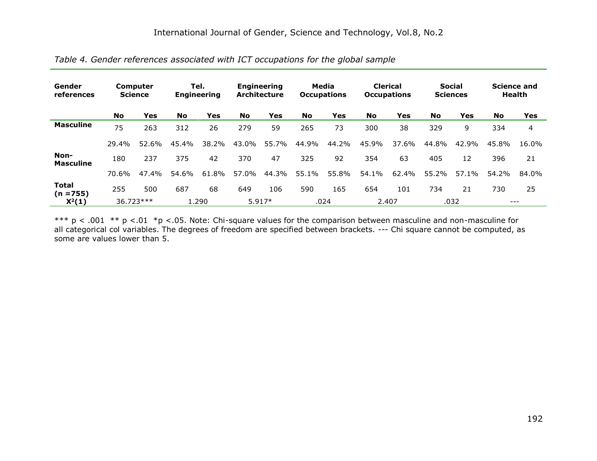| Gender<br>references     | Computer<br><b>Science</b> |                    | Tel.<br><b>Engineering</b> |       | <b>Engineering</b><br><b>Architecture</b> |       | Media<br><b>Occupations</b> |       | <b>Clerical</b><br><b>Occupations</b> |       | <b>Social</b><br><b>Sciences</b> |       | <b>Science and</b><br><b>Health</b> |       |
|--------------------------|----------------------------|--------------------|----------------------------|-------|-------------------------------------------|-------|-----------------------------|-------|---------------------------------------|-------|----------------------------------|-------|-------------------------------------|-------|
|                          | No                         | Yes                | <b>No</b>                  | Yes   | <b>No</b>                                 | Yes   | <b>No</b>                   | Yes   | <b>No</b>                             | Yes   | <b>No</b>                        | Yes   | <b>No</b>                           | Yes   |
| <b>Masculine</b>         | 75                         | 263                | 312                        | 26    | 279                                       | 59    | 265                         | 73    | 300                                   | 38    | 329                              | 9     | 334                                 | 4     |
|                          | 29.4%                      | 52.6%              | 45.4%                      | 38.2% | 43.0%                                     | 55.7% | 44.9%                       | 44.2% | 45.9%                                 | 37.6% | 44.8%                            | 42.9% | 45.8%                               | 16.0% |
| Non-<br><b>Masculine</b> | 180                        | 237                | 375                        | 42    | 370                                       | 47    | 325                         | 92    | 354                                   | 63    | 405                              | 12    | 396                                 | 21    |
|                          | 70.6%                      | 47.4%              | 54.6%                      | 61.8% | 57.0%                                     | 44.3% | 55.1%                       | 55.8% | 54.1%                                 | 62.4% | 55.2%                            | 57.1% | 54.2%                               | 84.0% |
| <b>Total</b><br>(n =755) | 255                        | 500                | 687                        | 68    | 649                                       | 106   | 590                         | 165   | 654                                   | 101   | 734                              | 21    | 730                                 | 25    |
| $X^2(1)$                 |                            | 36.723***<br>1.290 |                            |       | $5.917*$                                  |       | .024                        |       | 2.407                                 |       | .032                             |       | $---$                               |       |

*Table 4. Gender references associated with ICT occupations for the global sample*

\*\*\*  $p < .001$  \*\*  $p < .01$  \*p <.05. Note: Chi-square values for the comparison between masculine and non-masculine for all categorical col variables. The degrees of freedom are specified between brackets. --- Chi square cannot be computed, as some are values lower than 5.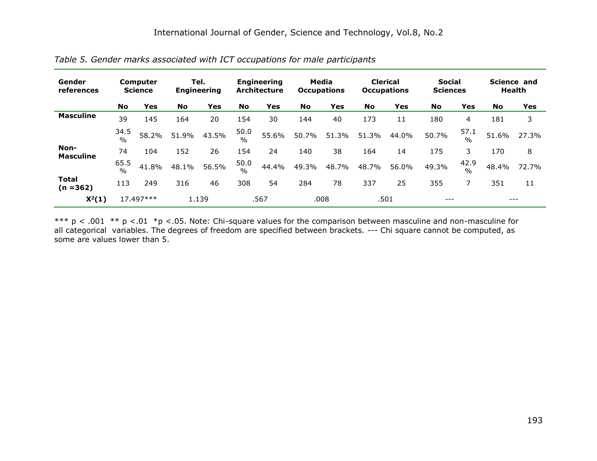| Gender<br>references        | <b>Computer</b><br><b>Science</b> |                    | Tel.<br><b>Engineering</b> |       | <b>Engineering</b><br><b>Architecture</b> |       | Media<br><b>Occupations</b> |       | <b>Clerical</b><br><b>Occupations</b> |       | <b>Social</b><br><b>Sciences</b> |                       | Science and<br><b>Health</b> |       |
|-----------------------------|-----------------------------------|--------------------|----------------------------|-------|-------------------------------------------|-------|-----------------------------|-------|---------------------------------------|-------|----------------------------------|-----------------------|------------------------------|-------|
|                             | <b>No</b>                         | Yes                | <b>No</b>                  | Yes   | <b>No</b>                                 | Yes   | <b>No</b>                   | Yes   | <b>No</b>                             | Yes   | <b>No</b>                        | Yes                   | <b>No</b>                    | Yes   |
| <b>Masculine</b>            | 39                                | 145                | 164                        | 20    | 154                                       | 30    | 144                         | 40    | 173                                   | 11    | 180                              | 4                     | 181                          | 3     |
|                             | 34.5<br>$\%$                      | 58.2%              | 51.9%                      | 43.5% | 50.0<br>$\frac{0}{0}$                     | 55.6% | 50.7%                       | 51.3% | 51.3%                                 | 44.0% | 50.7%                            | 57.1<br>$\frac{0}{0}$ | 51.6%                        | 27.3% |
| Non-<br><b>Masculine</b>    | 74                                | 104                | 152                        | 26    | 154                                       | 24    | 140                         | 38    | 164                                   | 14    | 175                              | 3.                    | 170                          | 8     |
|                             | 65.5<br>$\frac{0}{0}$             | 41.8%              | 48.1%                      | 56.5% | 50.0<br>$\frac{0}{0}$                     | 44.4% | 49.3%                       | 48.7% | 48.7%                                 | 56.0% | 49.3%                            | 42.9<br>$\frac{0}{0}$ | 48.4%                        | 72.7% |
| <b>Total</b><br>$(n = 362)$ | 113                               | 249                | 316                        | 46    | 308                                       | 54    | 284                         | 78    | 337                                   | 25    | 355                              | 7                     | 351                          | 11    |
| $X^2(1)$                    |                                   | 17.497***<br>1.139 |                            |       | .567                                      |       | .008                        |       | .501                                  |       | ---                              |                       | $---$                        |       |

*Table 5. Gender marks associated with ICT occupations for male participants*

\*\*\*  $p < .001$  \*\*  $p < .01$  \*p <.05. Note: Chi-square values for the comparison between masculine and non-masculine for all categorical variables. The degrees of freedom are specified between brackets. --- Chi square cannot be computed, as some are values lower than 5.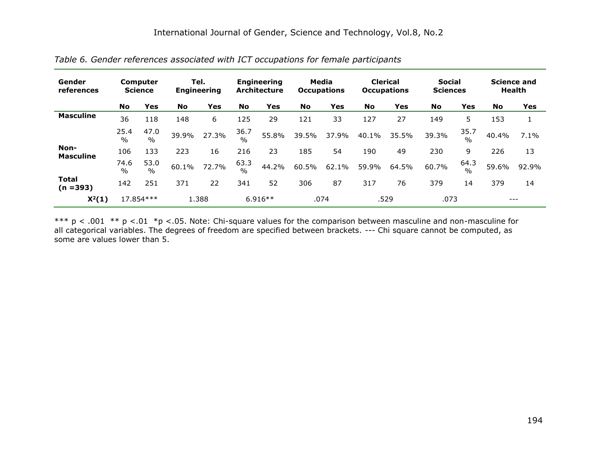| Gender<br>references        | Computer<br><b>Science</b> |                       | Tel.<br><b>Engineering</b> |                   | <b>Engineering</b><br><b>Architecture</b> |       | Media<br><b>Occupations</b> |       | <b>Clerical</b><br><b>Occupations</b> |       | <b>Social</b><br><b>Sciences</b> |                       | <b>Science and</b><br><b>Health</b> |         |
|-----------------------------|----------------------------|-----------------------|----------------------------|-------------------|-------------------------------------------|-------|-----------------------------|-------|---------------------------------------|-------|----------------------------------|-----------------------|-------------------------------------|---------|
|                             | No                         | Yes                   | <b>No</b>                  | Yes               | <b>No</b>                                 | Yes   | <b>No</b>                   | Yes   | <b>No</b>                             | Yes   | <b>No</b>                        | <b>Yes</b>            | <b>No</b>                           | Yes     |
| <b>Masculine</b>            | 36                         | 118                   | 148                        | 6                 | 125                                       | 29    | 121                         | 33    | 127                                   | 27    | 149                              | 5.                    | 153                                 | 1       |
|                             | 25.4<br>$\%$               | 47.0<br>$\frac{0}{0}$ | 39.9%                      | 27.3%             | 36.7<br>$\frac{0}{0}$                     | 55.8% | 39.5%                       | 37.9% | 40.1%                                 | 35.5% | 39.3%                            | 35.7<br>$\frac{0}{0}$ | 40.4%                               | $7.1\%$ |
| Non-<br><b>Masculine</b>    | 106                        | 133                   | 223                        | 16                | 216                                       | 23    | 185                         | 54    | 190                                   | 49    | 230                              | 9                     | 226                                 | 13      |
|                             | 74.6<br>$\%$               | 53.0<br>$\%$          | 60.1%                      | 72.7%             | 63.3<br>$\frac{0}{0}$                     | 44.2% | 60.5%                       | 62.1% | 59.9%                                 | 64.5% | 60.7%                            | 64.3<br>$\frac{0}{0}$ | 59.6%                               | 92.9%   |
| <b>Total</b><br>$(n = 393)$ | 142                        | 251                   | 371                        | 22                | 341                                       | 52    | 306                         | 87    | 317                                   | 76    | 379                              | 14                    | 379                                 | 14      |
| $X^2(1)$                    |                            | 17.854 ***<br>1.388   |                            | $6.916**$<br>.074 |                                           |       | .529                        |       | .073                                  |       | ---                              |                       |                                     |         |

*Table 6. Gender references associated with ICT occupations for female participants*

\*\*\*  $p < .001$  \*\*  $p < .01$  \*p <.05. Note: Chi-square values for the comparison between masculine and non-masculine for all categorical variables. The degrees of freedom are specified between brackets. --- Chi square cannot be computed, as some are values lower than 5.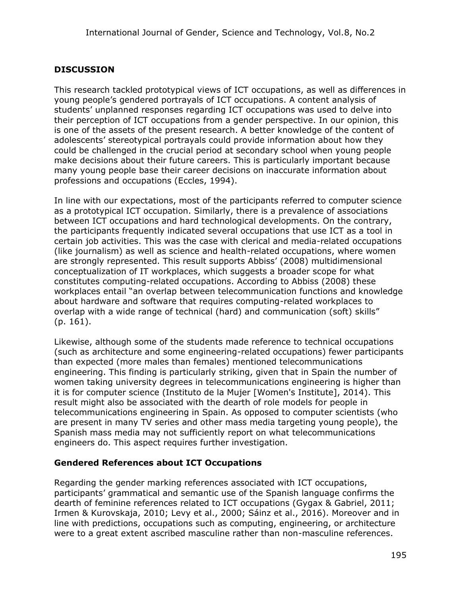# **DISCUSSION**

This research tackled prototypical views of ICT occupations, as well as differences in young people's gendered portrayals of ICT occupations. A content analysis of students' unplanned responses regarding ICT occupations was used to delve into their perception of ICT occupations from a gender perspective. In our opinion, this is one of the assets of the present research. A better knowledge of the content of adolescents' stereotypical portrayals could provide information about how they could be challenged in the crucial period at secondary school when young people make decisions about their future careers. This is particularly important because many young people base their career decisions on inaccurate information about professions and occupations (Eccles, 1994).

In line with our expectations, most of the participants referred to computer science as a prototypical ICT occupation. Similarly, there is a prevalence of associations between ICT occupations and hard technological developments. On the contrary, the participants frequently indicated several occupations that use ICT as a tool in certain job activities. This was the case with clerical and media-related occupations (like journalism) as well as science and health-related occupations, where women are strongly represented. This result supports Abbiss' (2008) multidimensional conceptualization of IT workplaces, which suggests a broader scope for what constitutes computing-related occupations. According to Abbiss (2008) these workplaces entail "an overlap between telecommunication functions and knowledge about hardware and software that requires computing-related workplaces to overlap with a wide range of technical (hard) and communication (soft) skills" (p. 161).

Likewise, although some of the students made reference to technical occupations (such as architecture and some engineering-related occupations) fewer participants than expected (more males than females) mentioned telecommunications engineering. This finding is particularly striking, given that in Spain the number of women taking university degrees in telecommunications engineering is higher than it is for computer science (Instituto de la Mujer [Women's Institute], 2014). This result might also be associated with the dearth of role models for people in telecommunications engineering in Spain. As opposed to computer scientists (who are present in many TV series and other mass media targeting young people), the Spanish mass media may not sufficiently report on what telecommunications engineers do. This aspect requires further investigation.

### **Gendered References about ICT Occupations**

Regarding the gender marking references associated with ICT occupations, participants' grammatical and semantic use of the Spanish language confirms the dearth of feminine references related to ICT occupations (Gygax & Gabriel, 2011; Irmen & Kurovskaja, 2010; Levy et al., 2000; Sáinz et al., 2016). Moreover and in line with predictions, occupations such as computing, engineering, or architecture were to a great extent ascribed masculine rather than non-masculine references.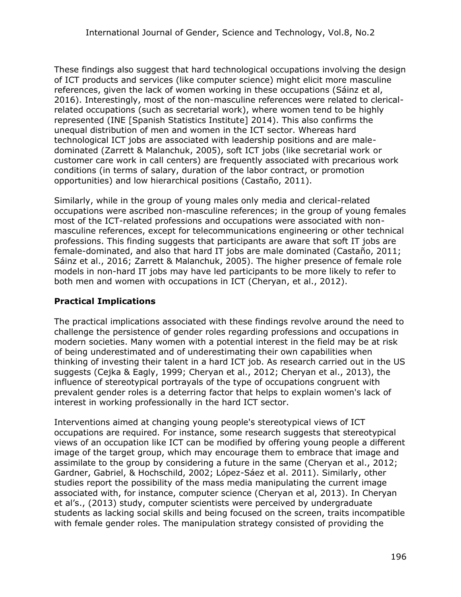These findings also suggest that hard technological occupations involving the design of ICT products and services (like computer science) might elicit more masculine references, given the lack of women working in these occupations (Sáinz et al, 2016). Interestingly, most of the non-masculine references were related to clericalrelated occupations (such as secretarial work), where women tend to be highly represented (INE [Spanish Statistics Institute] 2014). This also confirms the unequal distribution of men and women in the ICT sector. Whereas hard technological ICT jobs are associated with leadership positions and are maledominated (Zarrett & Malanchuk, 2005), soft ICT jobs (like secretarial work or customer care work in call centers) are frequently associated with precarious work conditions (in terms of salary, duration of the labor contract, or promotion opportunities) and low hierarchical positions (Castaño, 2011).

Similarly, while in the group of young males only media and clerical-related occupations were ascribed non-masculine references; in the group of young females most of the ICT-related professions and occupations were associated with nonmasculine references, except for telecommunications engineering or other technical professions. This finding suggests that participants are aware that soft IT jobs are female-dominated, and also that hard IT jobs are male dominated (Castaño, 2011; Sáinz et al., 2016; Zarrett & Malanchuk, 2005). The higher presence of female role models in non-hard IT jobs may have led participants to be more likely to refer to both men and women with occupations in ICT (Cheryan, et al., 2012).

# **Practical Implications**

The practical implications associated with these findings revolve around the need to challenge the persistence of gender roles regarding professions and occupations in modern societies. Many women with a potential interest in the field may be at risk of being underestimated and of underestimating their own capabilities when thinking of investing their talent in a hard ICT job. As research carried out in the US suggests (Cejka & Eagly, 1999; Cheryan et al., 2012; Cheryan et al., 2013), the influence of stereotypical portrayals of the type of occupations congruent with prevalent gender roles is a deterring factor that helps to explain women's lack of interest in working professionally in the hard ICT sector.

Interventions aimed at changing young people's stereotypical views of ICT occupations are required. For instance, some research suggests that stereotypical views of an occupation like ICT can be modified by offering young people a different image of the target group, which may encourage them to embrace that image and assimilate to the group by considering a future in the same (Cheryan et al., 2012; Gardner, Gabriel, & Hochschild, 2002; López-Sáez et al. 2011). Similarly, other studies report the possibility of the mass media manipulating the current image associated with, for instance, computer science (Cheryan et al, 2013). In Cheryan et al's., (2013) study, computer scientists were perceived by undergraduate students as lacking social skills and being focused on the screen, traits incompatible with female gender roles. The manipulation strategy consisted of providing the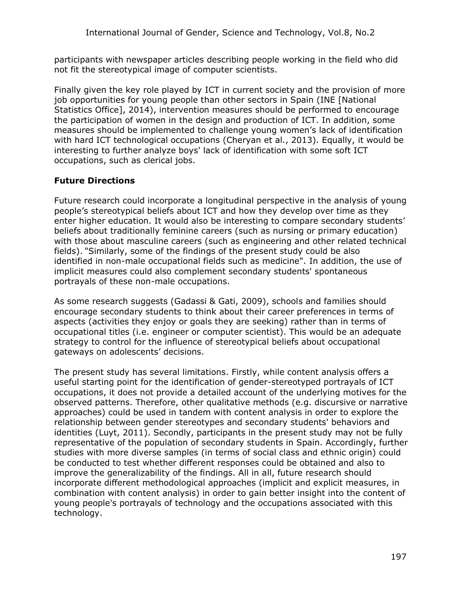participants with newspaper articles describing people working in the field who did not fit the stereotypical image of computer scientists.

Finally given the key role played by ICT in current society and the provision of more job opportunities for young people than other sectors in Spain (INE [National Statistics Office], 2014), intervention measures should be performed to encourage the participation of women in the design and production of ICT. In addition, some measures should be implemented to challenge young women's lack of identification with hard ICT technological occupations (Cheryan et al., 2013). Equally, it would be interesting to further analyze boys' lack of identification with some soft ICT occupations, such as clerical jobs.

# **Future Directions**

Future research could incorporate a longitudinal perspective in the analysis of young people's stereotypical beliefs about ICT and how they develop over time as they enter higher education. It would also be interesting to compare secondary students' beliefs about traditionally feminine careers (such as nursing or primary education) with those about masculine careers (such as engineering and other related technical fields). "Similarly, some of the findings of the present study could be also identified in non-male occupational fields such as medicine". In addition, the use of implicit measures could also complement secondary students' spontaneous portrayals of these non-male occupations.

As some research suggests (Gadassi & Gati, 2009), schools and families should encourage secondary students to think about their career preferences in terms of aspects (activities they enjoy or goals they are seeking) rather than in terms of occupational titles (i.e. engineer or computer scientist). This would be an adequate strategy to control for the influence of stereotypical beliefs about occupational gateways on adolescents' decisions.

The present study has several limitations. Firstly, while content analysis offers a useful starting point for the identification of gender-stereotyped portrayals of ICT occupations, it does not provide a detailed account of the underlying motives for the observed patterns. Therefore, other qualitative methods (e.g. discursive or narrative approaches) could be used in tandem with content analysis in order to explore the relationship between gender stereotypes and secondary students' behaviors and identities (Luyt, 2011). Secondly, participants in the present study may not be fully representative of the population of secondary students in Spain. Accordingly, further studies with more diverse samples (in terms of social class and ethnic origin) could be conducted to test whether different responses could be obtained and also to improve the generalizability of the findings. All in all, future research should incorporate different methodological approaches (implicit and explicit measures, in combination with content analysis) in order to gain better insight into the content of young people's portrayals of technology and the occupations associated with this technology.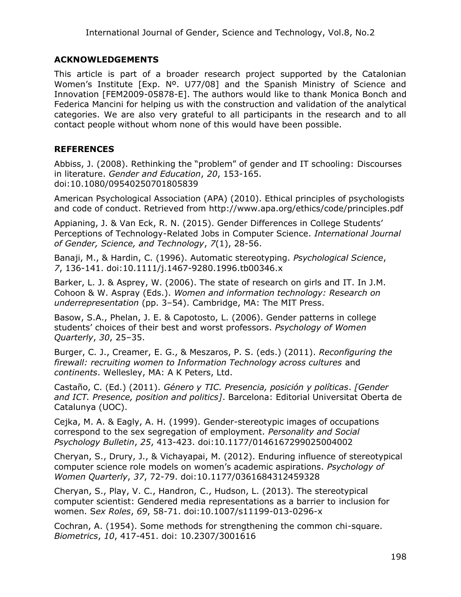### **ACKNOWLEDGEMENTS**

This article is part of a broader research project supported by the Catalonian Women's Institute [Exp. Nº. U77/08] and the Spanish Ministry of Science and Innovation [FEM2009-05878-E]. The authors would like to thank Monica Bonch and Federica Mancini for helping us with the construction and validation of the analytical categories. We are also very grateful to all participants in the research and to all contact people without whom none of this would have been possible.

### **REFERENCES**

Abbiss, J. (2008). Rethinking the "problem" of gender and IT schooling: Discourses in literature. *Gender and Education*, *20*, 153-165. doi:10.1080/09540250701805839

American Psychological Association (APA) (2010). Ethical principles of psychologists and code of conduct. Retrieved from http://www.apa.org/ethics/code/principles.pdf

Appianing, J. & Van Eck, R. N. (2015). Gender Differences in College Students' Perceptions of Technology-Related Jobs in Computer Science. *International Journal of Gender, Science, and Technology*, *7*(1), 28-56.

Banaji, M., & Hardin, C. (1996). Automatic stereotyping. *Psychological Science*, *7*, 136-141. doi:10.1111/j.1467-9280.1996.tb00346.x

Barker, L. J. & Asprey, W. (2006). The state of research on girls and IT. In J.M. Cohoon & W. Aspray (Eds.). *Women and information technology: Research on underrepresentation* (pp. 3–54). Cambridge, MA: The MIT Press.

Basow, S.A., Phelan, J. E. & Capotosto, L. (2006). Gender patterns in college students' choices of their best and worst professors. *Psychology of Women Quarterly*, *30*, 25–35.

Burger, C. J., Creamer, E. G., & Meszaros, P. S. (eds.) (2011). *Reconfiguring the firewall: recruiting women to Information Technology across cultures* and *continents*. Wellesley, MA: A K Peters, Ltd.

Castaño, C. (Ed.) (2011). *Género y TIC. Presencia, posición y políticas*. *[Gender and ICT. Presence, position and politics]*. Barcelona: Editorial Universitat Oberta de Catalunya (UOC).

Cejka, M. A. & Eagly, A. H. (1999). Gender-stereotypic images of occupations correspond to the sex segregation of employment. *Personality and Social Psychology Bulletin*, *25*, 413-423. doi:10.1177/0146167299025004002

Cheryan, S., Drury, J., & Vichayapai, M. (2012). Enduring influence of stereotypical computer science role models on women's academic aspirations. *Psychology of Women Quarterly*, *37*, 72-79. doi:10.1177/0361684312459328

Cheryan, S., Play, V. C., Handron, C., Hudson, L. (2013). The stereotypical computer scientist: Gendered media representations as a barrier to inclusion for women. S*ex Roles*, *69*, 58-71. doi:10.1007/s11199-013-0296-x

Cochran, A. (1954). Some methods for strengthening the common chi-square. *Biometrics*, *10*, 417-451. doi: 10.2307/3001616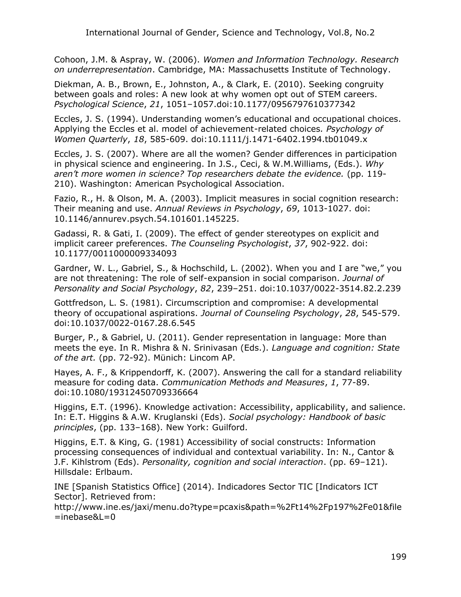Cohoon, J.M. & Aspray, W. (2006). *Women and Information Technology. Research on underrepresentation*. Cambridge, MA: Massachusetts Institute of Technology.

Diekman, A. B., Brown, E., Johnston, A., & Clark, E. (2010). Seeking congruity between goals and roles: A new look at why women opt out of STEM careers. *Psychological Science*, *21*, 1051–1057.doi:10.1177/0956797610377342

Eccles, J. S. (1994). Understanding women's educational and occupational choices. Applying the Eccles et al. model of achievement-related choices*. Psychology of Women Quarterly*, *18*, 585-609. doi:10.1111/j.1471-6402.1994.tb01049.x

Eccles, J. S. (2007). Where are all the women? Gender differences in participation in physical science and engineering. In J.S., Ceci, & W.M.Williams, (Eds.). *Why aren't more women in science? Top researchers debate the evidence.* (pp. 119- 210). Washington: American Psychological Association.

Fazio, R., H. & Olson, M. A. (2003). Implicit measures in social cognition research: Their meaning and use. *Annual Reviews in Psychology*, *69*, 1013-1027. doi: 10.1146/annurev.psych.54.101601.145225.

Gadassi, R. & Gati, I. (2009). The effect of gender stereotypes on explicit and implicit career preferences. *The Counseling Psychologist*, *37*, 902-922. doi: 10.1177/0011000009334093

Gardner, W. L., Gabriel, S., & Hochschild, L. (2002). When you and I are "we," you are not threatening: The role of self-expansion in social comparison. *Journal of Personality and Social Psychology*, *82*, 239–251. doi:10.1037/0022-3514.82.2.239

Gottfredson, L. S. (1981). Circumscription and compromise: A developmental theory of occupational aspirations. *Journal of Counseling Psychology*, *28*, 545-579. doi:10.1037/0022-0167.28.6.545

Burger, P., & Gabriel, U. (2011). Gender representation in language: More than meets the eye. In R. Mishra & N. Srinivasan (Eds.). *Language and cognition: State of the art.* (pp. 72-92). Münich: Lincom AP.

Hayes, A. F., & Krippendorff, K. (2007). Answering the call for a standard reliability measure for coding data. *Communication Methods and Measures*, *1*, 77-89. doi:10.1080/19312450709336664

Higgins, E.T. (1996). Knowledge activation: Accessibility, applicability, and salience. In: E.T. Higgins & A.W. Kruglanski (Eds). *Social psychology: Handbook of basic principles*, (pp. 133–168). New York: Guilford.

Higgins, E.T. & King, G. (1981) Accessibility of social constructs: Information processing consequences of individual and contextual variability. In: N., Cantor & J.F. Kihlstrom (Eds). *Personality, cognition and social interaction*. (pp. 69–121). Hillsdale: Erlbaum.

INE [Spanish Statistics Office] (2014). Indicadores Sector TIC [Indicators ICT Sector]. Retrieved from:

[http://www.ine.es/jaxi/menu.do?type=pcaxis&path=%2Ft14%2Fp197%2Fe01&file](http://www.ine.es/jaxi/menu.do?type=pcaxis&path=%2Ft14%2Fp197%2Fe01&file=inebase&L=0)  $=$ inebase&L $=0$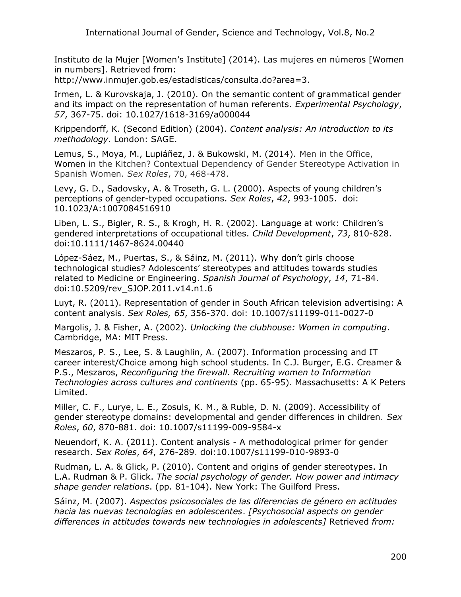Instituto de la Mujer [Women's Institute] (2014). Las mujeres en números [Women in numbers]. Retrieved from:

[http://www.inmujer.gob.es/estadisticas/consulta.do?area=3.](http://www.inmujer.gob.es/estadisticas/consulta.do?area=3)

Irmen, L. & Kurovskaja, J. (2010). On the semantic content of grammatical gender and its impact on the representation of human referents. *Experimental Psychology*, *57*, 367-75. doi: 10.1027/1618-3169/a000044

Krippendorff, K. (Second Edition) (2004). *Content analysis: An introduction to its methodology*. London: SAGE.

Lemus, S., Moya, M., Lupiáñez, J. & Bukowski, M. (2014). Men in the Office, Women in the Kitchen? Contextual Dependency of Gender Stereotype Activation in Spanish Women. *Sex Roles*, 70, 468-478.

Levy, G. D., Sadovsky, A. & Troseth, G. L. (2000). Aspects of young children's perceptions of gender-typed occupations. *Sex Roles*, *42*, 993-1005. doi: 10.1023/A:1007084516910

Liben, L. S., Bigler, R. S., & Krogh, H. R. (2002). Language at work: Children's gendered interpretations of occupational titles. *Child Development*, *73*, 810-828. doi:10.1111/1467-8624.00440

López-Sáez, M., Puertas, S., & Sáinz, M. (2011). Why don't girls choose technological studies? Adolescents' stereotypes and attitudes towards studies related to Medicine or Engineering. *Spanish Journal of Psychology*, *14*, 71-84. doi:10.5209/rev\_SJOP.2011.v14.n1.6

Luyt, R. (2011). Representation of gender in South African television advertising: A content analysis. *Sex Roles, 65*, 356-370. doi: 10.1007/s11199-011-0027-0

Margolis, J. & Fisher, A. (2002). *Unlocking the clubhouse: Women in computing*. Cambridge, MA: MIT Press.

Meszaros, P. S., Lee, S. & Laughlin, A. (2007). Information processing and IT career interest/Choice among high school students. In C.J. Burger, E.G. Creamer & P.S., Meszaros, *Reconfiguring the firewall. Recruiting women to Information Technologies across cultures and continents* (pp. 65-95). Massachusetts: A K Peters Limited.

Miller, C. F., Lurye, L. E., Zosuls, K. M., & Ruble, D. N. (2009). Accessibility of gender stereotype domains: developmental and gender differences in children. *Sex Roles*, *60*, 870-881. doi: 10.1007/s11199-009-9584-x

Neuendorf, K. A. (2011). Content analysis - A methodological primer for gender research. *Sex Roles*, *64*, 276-289. doi:10.1007/s11199-010-9893-0

Rudman, L. A. & Glick, P. (2010). Content and origins of gender stereotypes. In L.A. Rudman & P. Glick. *The social psychology of gender. How power and intimacy shape gender relations*. (pp. 81-104). New York: The Guilford Press.

Sáinz, M. (2007). *Aspectos psicosociales de las diferencias de género en actitudes hacia las nuevas tecnologías en adolescentes*. *[Psychosocial aspects on gender differences in attitudes towards new technologies in adolescents]* Retrieved *from:*